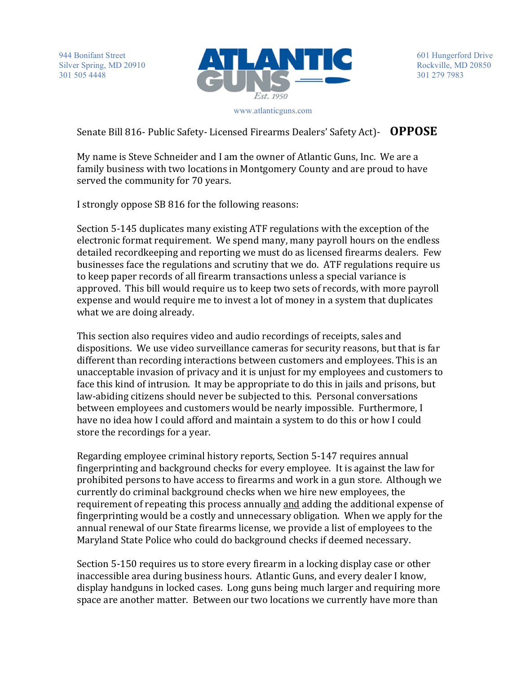

601 Hungerford Drive Rockville, MD 20850 301 279 7983

www.atlanticguns.com

Senate Bill 816- Public Safety- Licensed Firearms Dealers' Safety Act)- **OPPOSE** 

My name is Steve Schneider and I am the owner of Atlantic Guns, Inc. We are a family business with two locations in Montgomery County and are proud to have served the community for 70 years.

I strongly oppose SB 816 for the following reasons:

Section 5-145 duplicates many existing ATF regulations with the exception of the electronic format requirement. We spend many, many payroll hours on the endless detailed recordkeeping and reporting we must do as licensed firearms dealers. Few businesses face the regulations and scrutiny that we do. ATF regulations require us to keep paper records of all firearm transactions unless a special variance is approved. This bill would require us to keep two sets of records, with more payroll expense and would require me to invest a lot of money in a system that duplicates what we are doing already.

This section also requires video and audio recordings of receipts, sales and dispositions. We use video surveillance cameras for security reasons, but that is far different than recording interactions between customers and employees. This is an unacceptable invasion of privacy and it is unjust for my employees and customers to face this kind of intrusion. It may be appropriate to do this in jails and prisons, but law-abiding citizens should never be subjected to this. Personal conversations between employees and customers would be nearly impossible. Furthermore, I have no idea how I could afford and maintain a system to do this or how I could store the recordings for a year.

Regarding employee criminal history reports, Section 5-147 requires annual fingerprinting and background checks for every employee. It is against the law for prohibited persons to have access to firearms and work in a gun store. Although we currently do criminal background checks when we hire new employees, the requirement of repeating this process annually and adding the additional expense of fingerprinting would be a costly and unnecessary obligation. When we apply for the annual renewal of our State firearms license, we provide a list of employees to the Maryland State Police who could do background checks if deemed necessary.

Section 5-150 requires us to store every firearm in a locking display case or other inaccessible area during business hours. Atlantic Guns, and every dealer I know, display handguns in locked cases. Long guns being much larger and requiring more space are another matter. Between our two locations we currently have more than